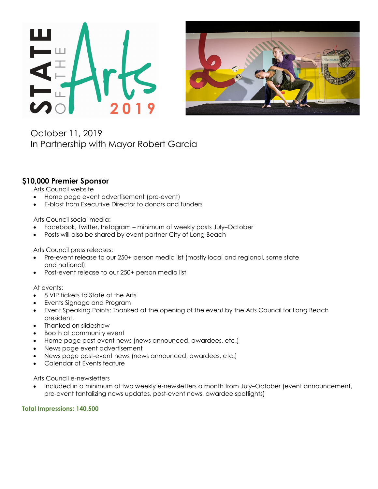



October 11, 2019 In Partnership with Mayor Robert Garcia

## **\$10,000 Premier Sponsor**

Arts Council website

- Home page event advertisement (pre-event)
- E-blast from Executive Director to donors and funders

Arts Council social media:

- Facebook, Twitter, Instagram minimum of weekly posts July–October
- Posts will also be shared by event partner City of Long Beach

Arts Council press releases:

- Pre-event release to our 250+ person media list (mostly local and regional, some state and national)
- Post-event release to our 250+ person media list

At events:

- 8 VIP tickets to State of the Arts
- Events Signage and Program
- Event Speaking Points: Thanked at the opening of the event by the Arts Council for Long Beach president.
- Thanked on slideshow
- Booth at community event
- Home page post-event news (news announced, awardees, etc.)
- News page event advertisement
- News page post-event news (news announced, awardees, etc.)
- Calendar of Events feature

Arts Council e-newsletters

• Included in a minimum of two weekly e-newsletters a month from July–October (event announcement, pre-event tantalizing news updates, post-event news, awardee spotlights)

**Total Impressions: 140,500**